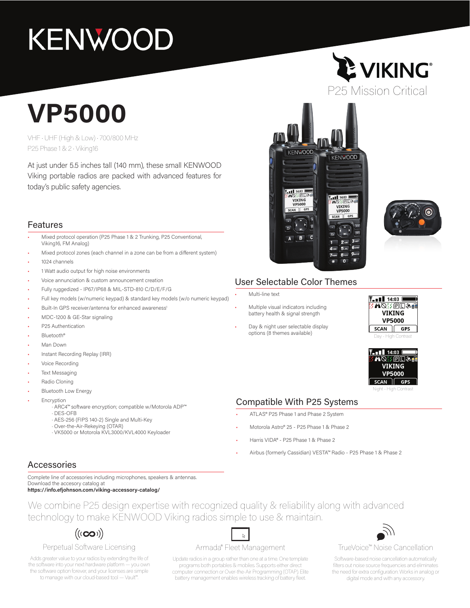# **KENWOOD**

# **VP5000**

VHF • UHF (High & Low) • 700/800 MHz P25 Phase 1 & 2 • Viking16

At just under 5.5 inches tall (140 mm), these small KENWOOD Viking portable radios are packed with advanced features for today's public safety agencies.

## Features

- Mixed protocol operation (P25 Phase 1 & 2 Trunking, P25 Conventional, Viking16, FM Analog)
- Mixed protocol zones (each channel in a zone can be from a different system)
- 1024 channels
- 1 Watt audio output for high noise environments
- Voice annunciation & custom announcement creation
- Fully ruggedized IP67/IP68 & MIL-STD-810 C/D/E/F/G
- Full key models (w/numeric keypad) & standard key models (w/o numeric keypad)
- Built-In GPS receiver/antenna for enhanced awareness<sup>1</sup>
- MDC-1200 & GE-Star signaling
- P25 Authentication
- Bluetooth®
- Man Down
- Instant Recording Replay (IRR)
- Voice Recording
- **Text Messaging**
- Radio Cloning
- **Bluetooth Low Energy**
- **Encryption** 
	- · ARC4™ software encryption; compatible w/Motorola ADP™
	- · DES-OFB
	- · AES-256 (FIPS 140-2) Single and Multi-Key
	- · Over-the-Air-Rekeying (OTAR)
	- · VK5000 or Motorola KVL3000/KVL4000 Keyloader

## **LE VIKING®** P25 Mission Critical





## User Selectable Color Themes

- Multi-line text
- Multiple visual indicators including battery health & signal strength
- Day & night user selectable display options (8 themes available)





## Compatible With P25 Systems

- ATLAS® P25 Phase 1 and Phase 2 System
- Motorola Astro® 25 P25 Phase 1 & Phase 2
- Harris VIDA® P25 Phase 1 & Phase 2
- Airbus (formerly Cassidian) VESTA™ Radio P25 Phase 1 & Phase 2

## Accessories

Complete line of accessories including microphones, speakers & antennas. Download the accesory catalog at

**https://info.efjohnson.com/viking-accessory-catalog/**

We combine P25 design expertise with recognized quality & reliability along with advanced technology to make KENWOOD Viking radios simple to use & maintain.

## $((\infty))$

### Perpetual Software Licensing

Adds greater value to your radios by extending the life of the software into your next hardware platform — you own the software option forever, and your licenses are simple to manage with our cloud-based tool — Vault™.

## $\mathbb{Z}$ Armada® Fleet Management

Update radios in a group rather than one at a time. One template programs both portables & mobiles. Supports either direct computer connection or Over-the-Air Programming (OTAP). Elite battery management enables wireless tracking of battery fleet.



## TrueVoice™ Noise Cancellation

Software-based noise cancellation automatically filters out noise source frequencies and eliminates the need for extra configuration. Works in analog or digital mode and with any accessory.